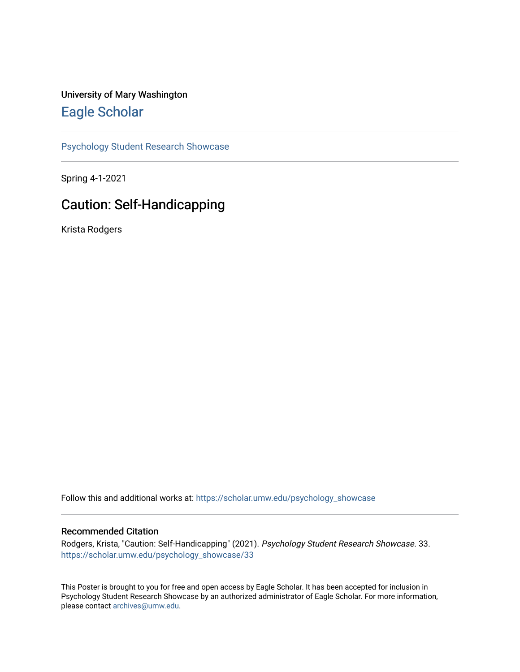#### University of Mary Washington [Eagle Scholar](https://scholar.umw.edu/)

[Psychology Student Research Showcase](https://scholar.umw.edu/psychology_showcase)

Spring 4-1-2021

#### Caution: Self-Handicapping

Krista Rodgers

Follow this and additional works at: [https://scholar.umw.edu/psychology\\_showcase](https://scholar.umw.edu/psychology_showcase?utm_source=scholar.umw.edu%2Fpsychology_showcase%2F33&utm_medium=PDF&utm_campaign=PDFCoverPages)

#### Recommended Citation

Rodgers, Krista, "Caution: Self-Handicapping" (2021). Psychology Student Research Showcase. 33. [https://scholar.umw.edu/psychology\\_showcase/33](https://scholar.umw.edu/psychology_showcase/33?utm_source=scholar.umw.edu%2Fpsychology_showcase%2F33&utm_medium=PDF&utm_campaign=PDFCoverPages) 

This Poster is brought to you for free and open access by Eagle Scholar. It has been accepted for inclusion in Psychology Student Research Showcase by an authorized administrator of Eagle Scholar. For more information, please contact [archives@umw.edu.](mailto:archives@umw.edu)